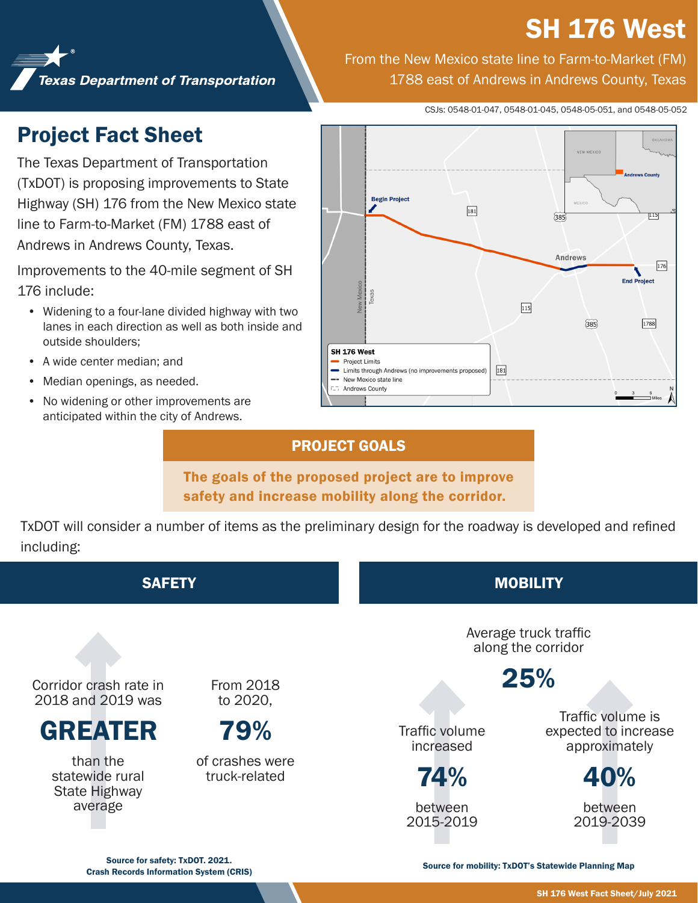# **SH 176 West**

**Texas Department of Transportation** 

From the New Mexico state line to Farm-to-Market (FM) 1788 east of Andrews in Andrews County, Texas

CSJs: 0548-01-047, 0548-01-045, 0548-05-051, and 0548-05-052

## Project Fact Sheet

The Texas Department of Transportation (TxDOT) is proposing improvements to State Highway (SH) 176 from the New Mexico state line to Farm-to-Market (FM) 1788 east of Andrews in Andrews County, Texas.

Improvements to the 40-mile segment of SH 176 include:

- Widening to a four-lane divided highway with two lanes in each direction as well as both inside and outside shoulders;
- A wide center median; and
- Median openings, as needed.
- No widening or other improvements are anticipated within the city of Andrews.



### PROJECT GOALS

The goals of the proposed project are to improve safety and increase mobility along the corridor.

TxDOT will consider a number of items as the preliminary design for the roadway is developed and refined including:



Source for safety: TxDOT. 2021. Crash Records Information System (CRIS) Source for mobility: TxDOT's Statewide Planning Map<br>Crash Records Information System (CRIS)